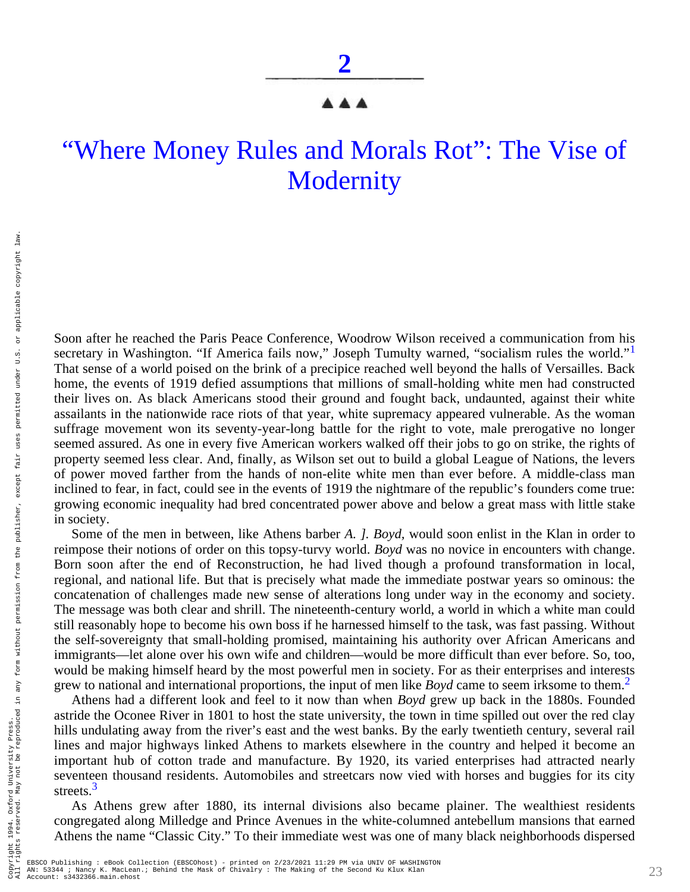**2**

# "Where Money Rules and Morals Rot": The Vise of Modernity

Soon after he reached the Paris Peace Conference, Woodrow Wilson received a communication from his secretary in Washington. "If America fails now," Joseph Tumulty warned, "socialism rules the world."<sup>1</sup> That sense of a world poised on the brink of a precipice reached well beyond the halls of Versailles. Back home, the events of 1919 defied assumptions that millions of small-holding white men had constructed their lives on. As black Americans stood their ground and fought back, undaunted, against their white assailants in the nationwide race riots of that year, white supremacy appeared vulnerable. As the woman suffrage movement won its seventy-year-long battle for the right to vote, male prerogative no longer seemed assured. As one in every five American workers walked off their jobs to go on strike, the rights of property seemed less clear. And, finally, as Wilson set out to build a global League of Nations, the levers of power moved farther from the hands of non-elite white men than ever before. A middle-class man inclined to fear, in fact, could see in the events of 1919 the nightmare of the republic's founders come true: growing economic inequality had bred concentrated power above and below a great mass with little stake in society.

Some of the men in between, like Athens barber *A. ]. Boyd,* would soon enlist in the Klan in order to reimpose their notions of order on this topsy-turvy world. *Boyd* was no novice in encounters with change. Born soon after the end of Reconstruction, he had lived though a profound transformation in local, regional, and national life. But that is precisely what made the immediate postwar years so ominous: the concatenation of challenges made new sense of alterations long under way in the economy and society. The message was both clear and shrill. The nineteenth-century world, a world in which a white man could still reasonably hope to become his own boss if he harnessed himself to the task, was fast passing. Without the self-sovereignty that small-holding promised, maintaining his authority over African Americans and immigrants—let alone over his own wife and children—would be more difficult than ever before. So, too, would be making himself heard by the most powerful men in society. For as their enterprises and interests grew to national and international proportions, the input of men like *Boyd* came to seem irksome to them.<sup>2</sup>

Athens had a different look and feel to it now than when *Boyd* grew up back in the 1880s. Founded astride the Oconee River in 1801 to host the state university, the town in time spilled out over the red clay hills undulating away from the river's east and the west banks. By the early twentieth century, several rail lines and major highways linked Athens to markets elsewhere in the country and helped it become an important hub of cotton trade and manufacture. By 1920, its varied enterprises had attracted nearly seventeen thousand residents. Automobiles and streetcars now vied with horses and buggies for its city streets.<sup>3</sup>

As Athens grew after 1880, its internal divisions also became plainer. The wealthiest residents congregated along Milledge and Prince Avenues in the white-columned antebellum mansions that earned Athens the name "Classic City." To their immediate west was one of many black neighborhoods dispersed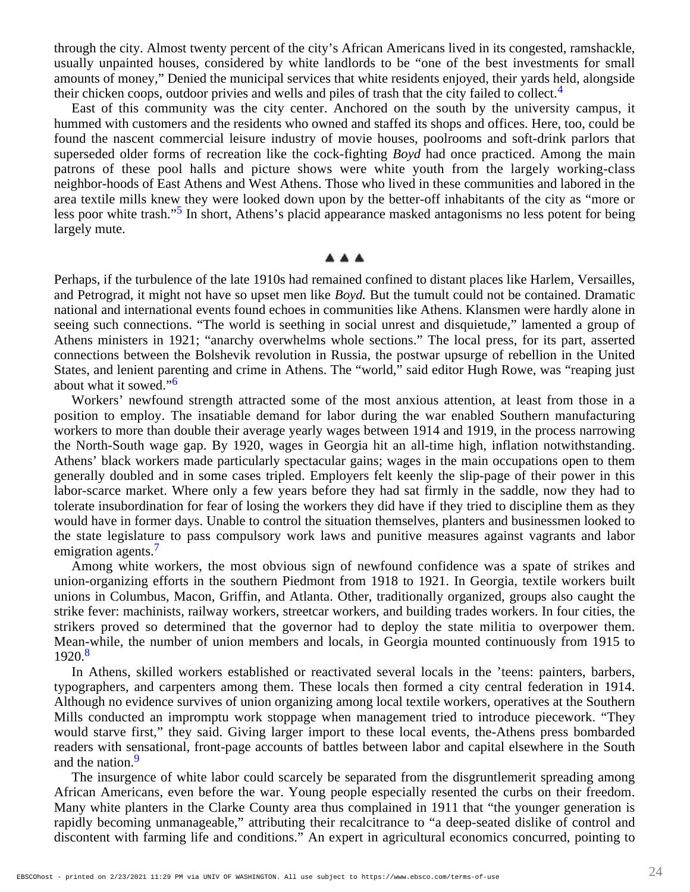through the city. Almost twenty percent of the city's African Americans lived in its congested, ramshackle, usually unpainted houses, considered by white landlords to be "one of the best investments for small amounts of money," Denied the municipal services that white residents enjoyed, their yards held, alongside their chicken coops, outdoor privies and wells and piles of trash that the city failed to collect.<sup>4</sup>

East of this community was the city center. Anchored on the south by the university campus, it hummed with customers and the residents who owned and staffed its shops and offices. Here, too, could be found the nascent commercial leisure industry of movie houses, poolrooms and soft-drink parlors that superseded older forms of recreation like the cock-fighting *Boyd* had once practiced. Among the main patrons of these pool halls and picture shows were white youth from the largely working-class neighbor-hoods of East Athens and West Athens. Those who lived in these communities and labored in the area textile mills knew they were looked down upon by the better-off inhabitants of the city as "more or less poor white trash."<sup>5</sup> In short, Athens's placid appearance masked antagonisms no less potent for being largely mute.

Perhaps, if the turbulence of the late 1910s had remained confined to distant places like Harlem, Versailles, and Petrograd, it might not have so upset men like *Boyd.* But the tumult could not be contained. Dramatic national and international events found echoes in communities like Athens. Klansmen were hardly alone in seeing such connections. "The world is seething in social unrest and disquietude," lamented a group of Athens ministers in 1921; "anarchy overwhelms whole sections." The local press, for its part, asserted connections between the Bolshevik revolution in Russia, the postwar upsurge of rebellion in the United States, and lenient parenting and crime in Athens. The "world," said editor Hugh Rowe, was "reaping just about what it sowed."<sup>6</sup>

Workers' newfound strength attracted some of the most anxious attention, at least from those in a position to employ. The insatiable demand for labor during the war enabled Southern manufacturing workers to more than double their average yearly wages between 1914 and 1919, in the process narrowing the North-South wage gap. By 1920, wages in Georgia hit an all-time high, inflation notwithstanding. Athens' black workers made particularly spectacular gains; wages in the main occupations open to them generally doubled and in some cases tripled. Employers felt keenly the slip-page of their power in this labor-scarce market. Where only a few years before they had sat firmly in the saddle, now they had to tolerate insubordination for fear of losing the workers they did have if they tried to discipline them as they would have in former days. Unable to control the situation themselves, planters and businessmen looked to the state legislature to pass compulsory work laws and punitive measures against vagrants and labor emigration agents.<sup>7</sup>

Among white workers, the most obvious sign of newfound confidence was a spate of strikes and union-organizing efforts in the southern Piedmont from 1918 to 1921. In Georgia, textile workers built unions in Columbus, Macon, Griffin, and Atlanta. Other, traditionally organized, groups also caught the strike fever: machinists, railway workers, streetcar workers, and building trades workers. In four cities, the strikers proved so determined that the governor had to deploy the state militia to overpower them. Mean-while, the number of union members and locals, in Georgia mounted continuously from 1915 to 1920.<sup>8</sup>

In Athens, skilled workers established or reactivated several locals in the 'teens: painters, barbers, typographers, and carpenters among them. These locals then formed a city central federation in 1914. Although no evidence survives of union organizing among local textile workers, operatives at the Southern Mills conducted an impromptu work stoppage when management tried to introduce piecework. "They would starve first," they said. Giving larger import to these local events, the-Athens press bombarded readers with sensational, front-page accounts of battles between labor and capital elsewhere in the South and the nation.<sup>9</sup>

The insurgence of white labor could scarcely be separated from the disgruntlemerit spreading among African Americans, even before the war. Young people especially resented the curbs on their freedom. Many white planters in the Clarke County area thus complained in 1911 that "the younger generation is rapidly becoming unmanageable," attributing their recalcitrance to "a deep-seated dislike of control and discontent with farming life and conditions." An expert in agricultural economics concurred, pointing to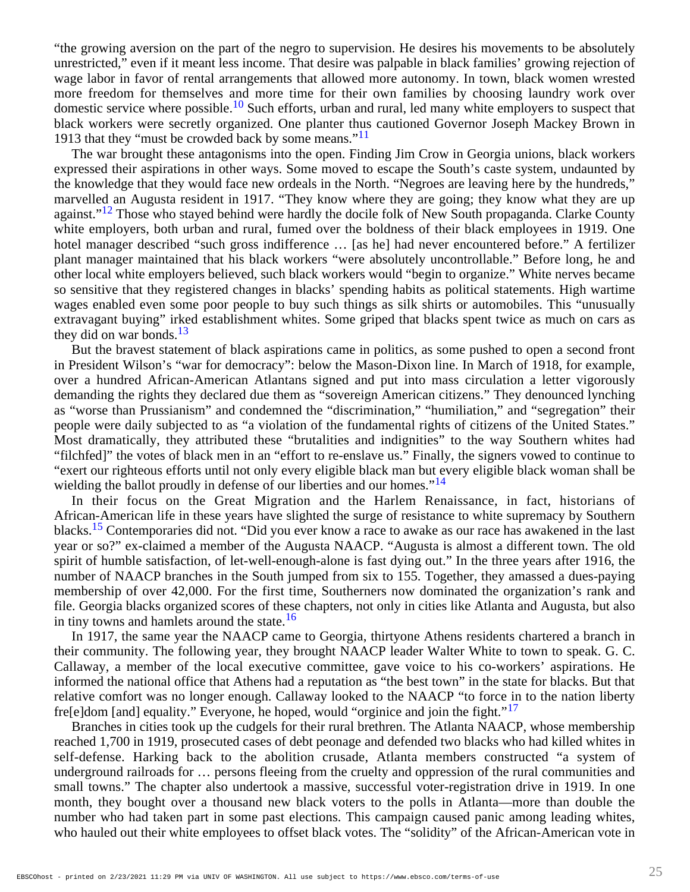"the growing aversion on the part of the negro to supervision. He desires his movements to be absolutely unrestricted," even if it meant less income. That desire was palpable in black families' growing rejection of wage labor in favor of rental arrangements that allowed more autonomy. In town, black women wrested more freedom for themselves and more time for their own families by choosing laundry work over domestic service where possible.  $10$  Such efforts, urban and rural, led many white employers to suspect that black workers were secretly organized. One planter thus cautioned Governor Joseph Mackey Brown in 1913 that they "must be crowded back by some means."<sup>11</sup>

The war brought these antagonisms into the open. Finding Jim Crow in Georgia unions, black workers expressed their aspirations in other ways. Some moved to escape the South's caste system, undaunted by the knowledge that they would face new ordeals in the North. "Negroes are leaving here by the hundreds," marvelled an Augusta resident in 1917. "They know where they are going; they know what they are up against."<sup>12</sup> Those who stayed behind were hardly the docile folk of New South propaganda. Clarke County white employers, both urban and rural, fumed over the boldness of their black employees in 1919. One hotel manager described "such gross indifference ... [as he] had never encountered before." A fertilizer plant manager maintained that his black workers "were absolutely uncontrollable." Before long, he and other local white employers believed, such black workers would "begin to organize." White nerves became so sensitive that they registered changes in blacks' spending habits as political statements. High wartime wages enabled even some poor people to buy such things as silk shirts or automobiles. This "unusually extravagant buying" irked establishment whites. Some griped that blacks spent twice as much on cars as they did on war bonds. $^{13}$ 

But the bravest statement of black aspirations came in politics, as some pushed to open a second front in President Wilson's "war for democracy": below the Mason-Dixon line. In March of 1918, for example, over a hundred African-American Atlantans signed and put into mass circulation a letter vigorously demanding the rights they declared due them as "sovereign American citizens." They denounced lynching as "worse than Prussianism" and condemned the "discrimination," "humiliation," and "segregation" their people were daily subjected to as "a violation of the fundamental rights of citizens of the United States." Most dramatically, they attributed these "brutalities and indignities" to the way Southern whites had "filchfed]" the votes of black men in an "effort to re-enslave us." Finally, the signers vowed to continue to "exert our righteous efforts until not only every eligible black man but every eligible black woman shall be wielding the ballot proudly in defense of our liberties and our homes."<sup>14</sup>

In their focus on the Great Migration and the Harlem Renaissance, in fact, historians of African-American life in these years have slighted the surge of resistance to white supremacy by Southern blacks.<sup>15</sup> Contemporaries did not. "Did you ever know a race to awake as our race has awakened in the last year or so?" ex-claimed a member of the Augusta NAACP. "Augusta is almost a different town. The old spirit of humble satisfaction, of let-well-enough-alone is fast dying out." In the three years after 1916, the number of NAACP branches in the South jumped from six to 155. Together, they amassed a dues-paying membership of over 42,000. For the first time, Southerners now dominated the organization's rank and file. Georgia blacks organized scores of these chapters, not only in cities like Atlanta and Augusta, but also in tiny towns and hamlets around the state.<sup>16</sup>

In 1917, the same year the NAACP came to Georgia, thirtyone Athens residents chartered a branch in their community. The following year, they brought NAACP leader Walter White to town to speak. G. C. Callaway, a member of the local executive committee, gave voice to his co-workers' aspirations. He informed the national office that Athens had a reputation as "the best town" in the state for blacks. But that relative comfort was no longer enough. Callaway looked to the NAACP "to force in to the nation liberty fre[e]dom [and] equality." Everyone, he hoped, would "orginice and join the fight."

Branches in cities took up the cudgels for their rural brethren. The Atlanta NAACP, whose membership reached 1,700 in 1919, prosecuted cases of debt peonage and defended two blacks who had killed whites in self-defense. Harking back to the abolition crusade, Atlanta members constructed "a system of underground railroads for … persons fleeing from the cruelty and oppression of the rural communities and small towns." The chapter also undertook a massive, successful voter-registration drive in 1919. In one month, they bought over a thousand new black voters to the polls in Atlanta—more than double the number who had taken part in some past elections. This campaign caused panic among leading whites, who hauled out their white employees to offset black votes. The "solidity" of the African-American vote in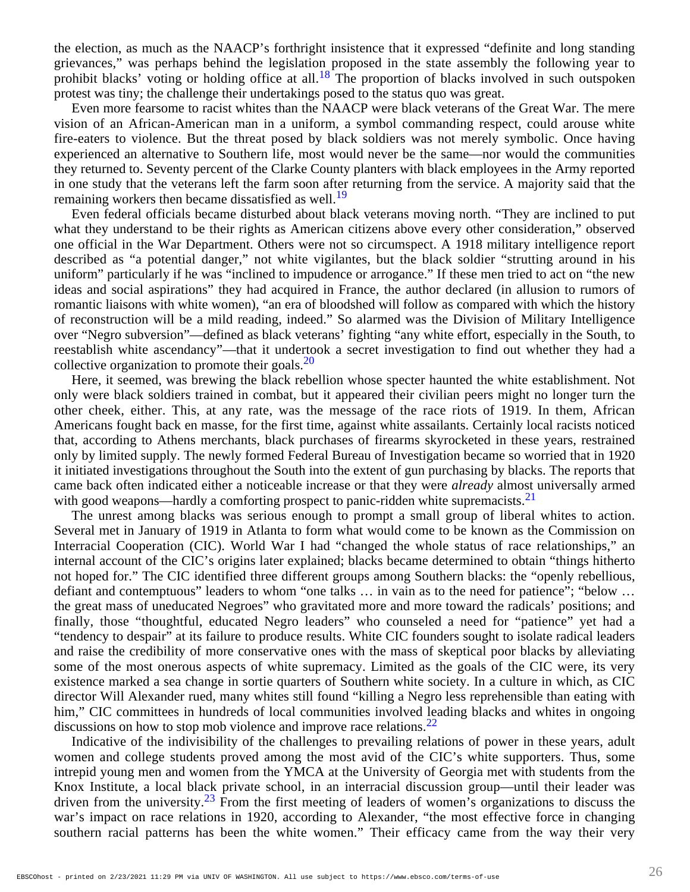the election, as much as the NAACP's forthright insistence that it expressed "definite and long standing grievances," was perhaps behind the legislation proposed in the state assembly the following year to prohibit blacks' voting or holding office at all.<sup>18</sup> The proportion of blacks involved in such outspoken protest was tiny; the challenge their undertakings posed to the status quo was great.

Even more fearsome to racist whites than the NAACP were black veterans of the Great War. The mere vision of an African-American man in a uniform, a symbol commanding respect, could arouse white fire-eaters to violence. But the threat posed by black soldiers was not merely symbolic. Once having experienced an alternative to Southern life, most would never be the same—nor would the communities they returned to. Seventy percent of the Clarke County planters with black employees in the Army reported in one study that the veterans left the farm soon after returning from the service. A majority said that the remaining workers then became dissatisfied as well.<sup>19</sup>

Even federal officials became disturbed about black veterans moving north. "They are inclined to put what they understand to be their rights as American citizens above every other consideration," observed one official in the War Department. Others were not so circumspect. A 1918 military intelligence report described as "a potential danger," not white vigilantes, but the black soldier "strutting around in his uniform" particularly if he was "inclined to impudence or arrogance." If these men tried to act on "the new ideas and social aspirations" they had acquired in France, the author declared (in allusion to rumors of romantic liaisons with white women), "an era of bloodshed will follow as compared with which the history of reconstruction will be a mild reading, indeed." So alarmed was the Division of Military Intelligence over "Negro subversion"—defined as black veterans' fighting "any white effort, especially in the South, to reestablish white ascendancy"—that it undertook a secret investigation to find out whether they had a collective organization to promote their goals. $^{20}$ 

Here, it seemed, was brewing the black rebellion whose specter haunted the white establishment. Not only were black soldiers trained in combat, but it appeared their civilian peers might no longer turn the other cheek, either. This, at any rate, was the message of the race riots of 1919. In them, African Americans fought back en masse, for the first time, against white assailants. Certainly local racists noticed that, according to Athens merchants, black purchases of firearms skyrocketed in these years, restrained only by limited supply. The newly formed Federal Bureau of Investigation became so worried that in 1920 it initiated investigations throughout the South into the extent of gun purchasing by blacks. The reports that came back often indicated either a noticeable increase or that they were *already* almost universally armed with good weapons—hardly a comforting prospect to panic-ridden white supremacists.<sup>21</sup>

The unrest among blacks was serious enough to prompt a small group of liberal whites to action. Several met in January of 1919 in Atlanta to form what would come to be known as the Commission on Interracial Cooperation (CIC). World War I had "changed the whole status of race relationships," an internal account of the CIC's origins later explained; blacks became determined to obtain "things hitherto not hoped for." The CIC identified three different groups among Southern blacks: the "openly rebellious, defiant and contemptuous" leaders to whom "one talks … in vain as to the need for patience"; "below … the great mass of uneducated Negroes" who gravitated more and more toward the radicals' positions; and finally, those "thoughtful, educated Negro leaders" who counseled a need for "patience" yet had a "tendency to despair" at its failure to produce results. White CIC founders sought to isolate radical leaders and raise the credibility of more conservative ones with the mass of skeptical poor blacks by alleviating some of the most onerous aspects of white supremacy. Limited as the goals of the CIC were, its very existence marked a sea change in sortie quarters of Southern white society. In a culture in which, as CIC director Will Alexander rued, many whites still found "killing a Negro less reprehensible than eating with him," CIC committees in hundreds of local communities involved leading blacks and whites in ongoing discussions on how to stop mob violence and improve race relations.<sup>22</sup>

Indicative of the indivisibility of the challenges to prevailing relations of power in these years, adult women and college students proved among the most avid of the CIC's white supporters. Thus, some intrepid young men and women from the YMCA at the University of Georgia met with students from the Knox Institute, a local black private school, in an interracial discussion group—until their leader was driven from the university.<sup>23</sup> From the first meeting of leaders of women's organizations to discuss the war's impact on race relations in 1920, according to Alexander, "the most effective force in changing southern racial patterns has been the white women." Their efficacy came from the way their very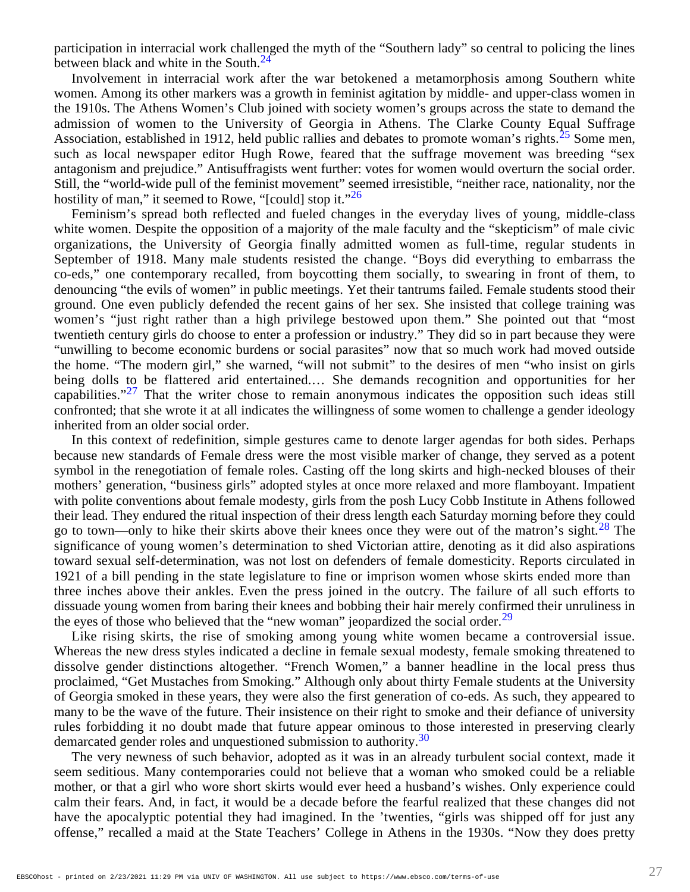participation in interracial work challenged the myth of the "Southern lady" so central to policing the lines between black and white in the South.<sup>24</sup>

Involvement in interracial work after the war betokened a metamorphosis among Southern white women. Among its other markers was a growth in feminist agitation by middle- and upper-class women in the 1910s. The Athens Women's Club joined with society women's groups across the state to demand the admission of women to the University of Georgia in Athens. The Clarke County Equal Suffrage Association, established in 1912, held public rallies and debates to promote woman's rights.<sup>25</sup> Some men, such as local newspaper editor Hugh Rowe, feared that the suffrage movement was breeding "sex antagonism and prejudice." Antisuffragists went further: votes for women would overturn the social order. Still, the "world-wide pull of the feminist movement" seemed irresistible, "neither race, nationality, nor the hostility of man," it seemed to Rowe, "[could] stop it." $26$ 

Feminism's spread both reflected and fueled changes in the everyday lives of young, middle-class white women. Despite the opposition of a majority of the male faculty and the "skepticism" of male civic organizations, the University of Georgia finally admitted women as full-time, regular students in September of 1918. Many male students resisted the change. "Boys did everything to embarrass the co-eds," one contemporary recalled, from boycotting them socially, to swearing in front of them, to denouncing "the evils of women" in public meetings. Yet their tantrums failed. Female students stood their ground. One even publicly defended the recent gains of her sex. She insisted that college training was women's "just right rather than a high privilege bestowed upon them." She pointed out that "most twentieth century girls do choose to enter a profession or industry." They did so in part because they were "unwilling to become economic burdens or social parasites" now that so much work had moved outside the home. "The modern girl," she warned, "will not submit" to the desires of men "who insist on girls being dolls to be flattered arid entertained.… She demands recognition and opportunities for her capabilities."<sup>27</sup> That the writer chose to remain anonymous indicates the opposition such ideas still confronted; that she wrote it at all indicates the willingness of some women to challenge a gender ideology inherited from an older social order.

In this context of redefinition, simple gestures came to denote larger agendas for both sides. Perhaps because new standards of Female dress were the most visible marker of change, they served as a potent symbol in the renegotiation of female roles. Casting off the long skirts and high-necked blouses of their mothers' generation, "business girls" adopted styles at once more relaxed and more flamboyant. Impatient with polite conventions about female modesty, girls from the posh Lucy Cobb Institute in Athens followed their lead. They endured the ritual inspection of their dress length each Saturday morning before they could go to town—only to hike their skirts above their knees once they were out of the matron's sight.  $28$  The significance of young women's determination to shed Victorian attire, denoting as it did also aspirations toward sexual self-determination, was not lost on defenders of female domesticity. Reports circulated in 1921 of a bill pending in the state legislature to fine or imprison women whose skirts ended more than three inches above their ankles. Even the press joined in the outcry. The failure of all such efforts to dissuade young women from baring their knees and bobbing their hair merely confirmed their unruliness in the eyes of those who believed that the "new woman" jeopardized the social order.<sup>29</sup>

Like rising skirts, the rise of smoking among young white women became a controversial issue. Whereas the new dress styles indicated a decline in female sexual modesty, female smoking threatened to dissolve gender distinctions altogether. "French Women," a banner headline in the local press thus proclaimed, "Get Mustaches from Smoking." Although only about thirty Female students at the University of Georgia smoked in these years, they were also the first generation of co-eds. As such, they appeared to many to be the wave of the future. Their insistence on their right to smoke and their defiance of university rules forbidding it no doubt made that future appear ominous to those interested in preserving clearly demarcated gender roles and unquestioned submission to authority.<sup>30</sup>

The very newness of such behavior, adopted as it was in an already turbulent social context, made it seem seditious. Many contemporaries could not believe that a woman who smoked could be a reliable mother, or that a girl who wore short skirts would ever heed a husband's wishes. Only experience could calm their fears. And, in fact, it would be a decade before the fearful realized that these changes did not have the apocalyptic potential they had imagined. In the 'twenties, "girls was shipped off for just any offense," recalled a maid at the State Teachers' College in Athens in the 1930s. "Now they does pretty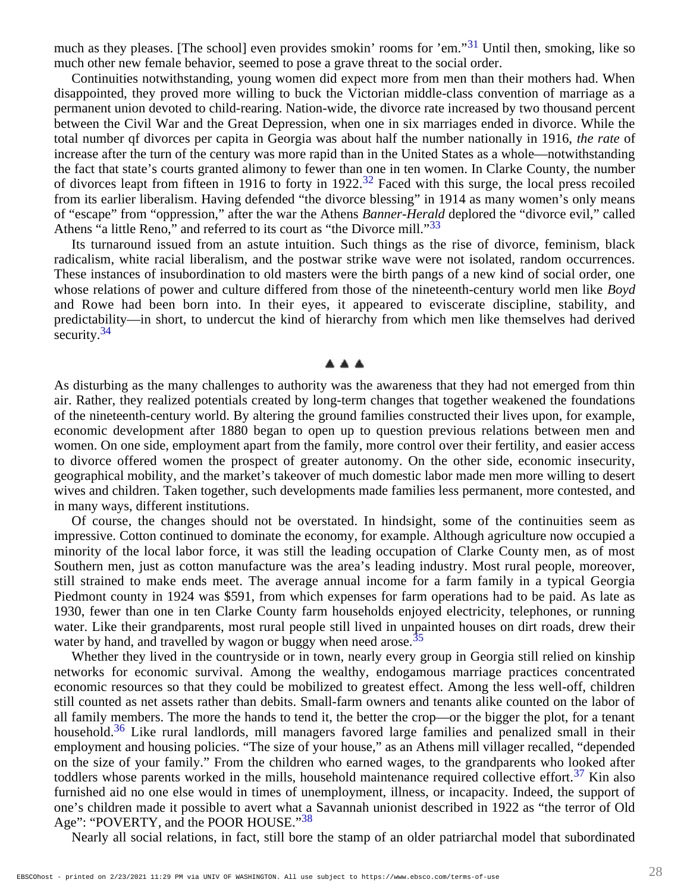much as they pleases. [The school] even provides smokin' rooms for 'em."<sup>31</sup> Until then, smoking, like so much other new female behavior, seemed to pose a grave threat to the social order.

Continuities notwithstanding, young women did expect more from men than their mothers had. When disappointed, they proved more willing to buck the Victorian middle-class convention of marriage as a permanent union devoted to child-rearing. Nation-wide, the divorce rate increased by two thousand percent between the Civil War and the Great Depression, when one in six marriages ended in divorce. While the total number qf divorces per capita in Georgia was about half the number nationally in 1916, *the rate* of increase after the turn of the century was more rapid than in the United States as a whole—notwithstanding the fact that state's courts granted alimony to fewer than one in ten women. In Clarke County, the number of divorces leapt from fifteen in 1916 to forty in  $1922<sup>32</sup>$  Faced with this surge, the local press recoiled from its earlier liberalism. Having defended "the divorce blessing" in 1914 as many women's only means of "escape" from "oppression," after the war the Athens *Banner-Herald* deplored the "divorce evil," called Athens "a little Reno," and referred to its court as "the Divorce mill."<sup>33</sup>

Its turnaround issued from an astute intuition. Such things as the rise of divorce, feminism, black radicalism, white racial liberalism, and the postwar strike wave were not isolated, random occurrences. These instances of insubordination to old masters were the birth pangs of a new kind of social order, one whose relations of power and culture differed from those of the nineteenth-century world men like *Boyd* and Rowe had been born into. In their eyes, it appeared to eviscerate discipline, stability, and predictability—in short, to undercut the kind of hierarchy from which men like themselves had derived security. $34$ 

## **AAA**

As disturbing as the many challenges to authority was the awareness that they had not emerged from thin air. Rather, they realized potentials created by long-term changes that together weakened the foundations of the nineteenth-century world. By altering the ground families constructed their lives upon, for example, economic development after 1880 began to open up to question previous relations between men and women. On one side, employment apart from the family, more control over their fertility, and easier access to divorce offered women the prospect of greater autonomy. On the other side, economic insecurity, geographical mobility, and the market's takeover of much domestic labor made men more willing to desert wives and children. Taken together, such developments made families less permanent, more contested, and in many ways, different institutions.

Of course, the changes should not be overstated. In hindsight, some of the continuities seem as impressive. Cotton continued to dominate the economy, for example. Although agriculture now occupied a minority of the local labor force, it was still the leading occupation of Clarke County men, as of most Southern men, just as cotton manufacture was the area's leading industry. Most rural people, moreover, still strained to make ends meet. The average annual income for a farm family in a typical Georgia Piedmont county in 1924 was \$591, from which expenses for farm operations had to be paid. As late as 1930, fewer than one in ten Clarke County farm households enjoyed electricity, telephones, or running water. Like their grandparents, most rural people still lived in unpainted houses on dirt roads, drew their water by hand, and travelled by wagon or buggy when need arose.<sup>35</sup>

Whether they lived in the countryside or in town, nearly every group in Georgia still relied on kinship networks for economic survival. Among the wealthy, endogamous marriage practices concentrated economic resources so that they could be mobilized to greatest effect. Among the less well-off, children still counted as net assets rather than debits. Small-farm owners and tenants alike counted on the labor of all family members. The more the hands to tend it, the better the crop—or the bigger the plot, for a tenant household.<sup>36</sup> Like rural landlords, mill managers favored large families and penalized small in their employment and housing policies. "The size of your house," as an Athens mill villager recalled, "depended on the size of your family." From the children who earned wages, to the grandparents who looked after toddlers whose parents worked in the mills, household maintenance required collective effort.<sup>37</sup> Kin also furnished aid no one else would in times of unemployment, illness, or incapacity. Indeed, the support of one's children made it possible to avert what a Savannah unionist described in 1922 as "the terror of Old Age": "POVERTY, and the POOR HOUSE."<sup>38</sup>

Nearly all social relations, in fact, still bore the stamp of an older patriarchal model that subordinated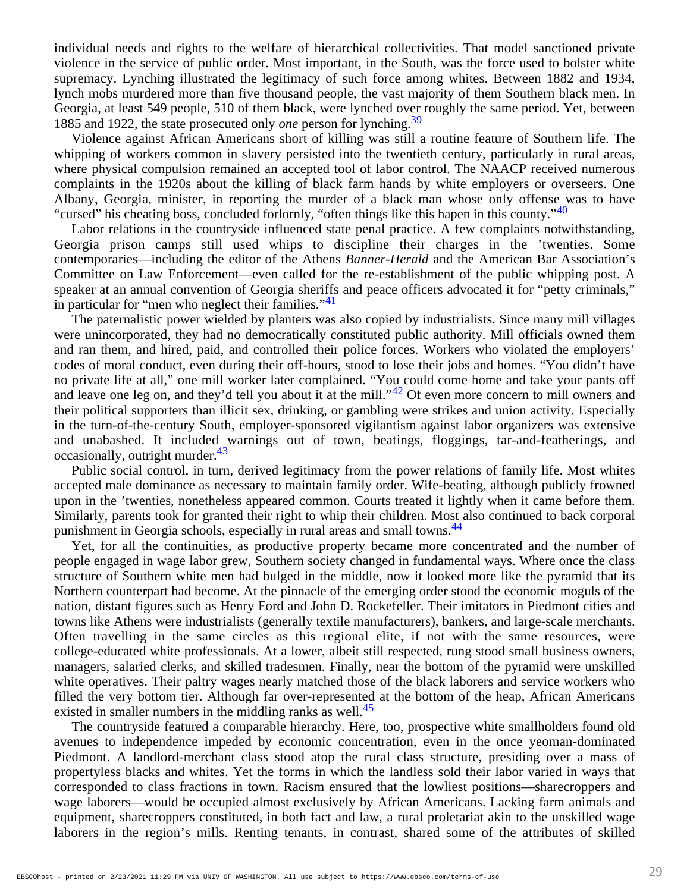individual needs and rights to the welfare of hierarchical collectivities. That model sanctioned private violence in the service of public order. Most important, in the South, was the force used to bolster white supremacy. Lynching illustrated the legitimacy of such force among whites. Between 1882 and 1934, lynch mobs murdered more than five thousand people, the vast majority of them Southern black men. In Georgia, at least 549 people, 510 of them black, were lynched over roughly the same period. Yet, between 1885 and 1922, the state prosecuted only *one* person for lynching.<sup>39</sup>

Violence against African Americans short of killing was still a routine feature of Southern life. The whipping of workers common in slavery persisted into the twentieth century, particularly in rural areas, where physical compulsion remained an accepted tool of labor control. The NAACP received numerous complaints in the 1920s about the killing of black farm hands by white employers or overseers. One Albany, Georgia, minister, in reporting the murder of a black man whose only offense was to have "cursed" his cheating boss, concluded forlornly, "often things like this hapen in this county."<sup>40</sup>

Labor relations in the countryside influenced state penal practice. A few complaints notwithstanding, Georgia prison camps still used whips to discipline their charges in the 'twenties. Some contemporaries—including the editor of the Athens *Banner-Herald* and the American Bar Association's Committee on Law Enforcement—even called for the re-establishment of the public whipping post. A speaker at an annual convention of Georgia sheriffs and peace officers advocated it for "petty criminals," in particular for "men who neglect their families." $41$ 

The paternalistic power wielded by planters was also copied by industrialists. Since many mill villages were unincorporated, they had no democratically constituted public authority. Mill officials owned them and ran them, and hired, paid, and controlled their police forces. Workers who violated the employers' codes of moral conduct, even during their off-hours, stood to lose their jobs and homes. "You didn't have no private life at all," one mill worker later complained. "You could come home and take your pants off and leave one leg on, and they'd tell you about it at the mill."  $42$  Of even more concern to mill owners and their political supporters than illicit sex, drinking, or gambling were strikes and union activity. Especially in the turn-of-the-century South, employer-sponsored vigilantism against labor organizers was extensive and unabashed. It included warnings out of town, beatings, floggings, tar-and-featherings, and  $occasionally$ , outright murder.  $43$ 

Public social control, in turn, derived legitimacy from the power relations of family life. Most whites accepted male dominance as necessary to maintain family order. Wife-beating, although publicly frowned upon in the 'twenties, nonetheless appeared common. Courts treated it lightly when it came before them. Similarly, parents took for granted their right to whip their children. Most also continued to back corporal punishment in Georgia schools, especially in rural areas and small towns.<sup>44</sup>

Yet, for all the continuities, as productive property became more concentrated and the number of people engaged in wage labor grew, Southern society changed in fundamental ways. Where once the class structure of Southern white men had bulged in the middle, now it looked more like the pyramid that its Northern counterpart had become. At the pinnacle of the emerging order stood the economic moguls of the nation, distant figures such as Henry Ford and John D. Rockefeller. Their imitators in Piedmont cities and towns like Athens were industrialists (generally textile manufacturers), bankers, and large-scale merchants. Often travelling in the same circles as this regional elite, if not with the same resources, were college-educated white professionals. At a lower, albeit still respected, rung stood small business owners, managers, salaried clerks, and skilled tradesmen. Finally, near the bottom of the pyramid were unskilled white operatives. Their paltry wages nearly matched those of the black laborers and service workers who filled the very bottom tier. Although far over-represented at the bottom of the heap, African Americans existed in smaller numbers in the middling ranks as well. $45$ 

The countryside featured a comparable hierarchy. Here, too, prospective white smallholders found old avenues to independence impeded by economic concentration, even in the once yeoman-dominated Piedmont. A landlord-merchant class stood atop the rural class structure, presiding over a mass of propertyless blacks and whites. Yet the forms in which the landless sold their labor varied in ways that corresponded to class fractions in town. Racism ensured that the lowliest positions—sharecroppers and wage laborers—would be occupied almost exclusively by African Americans. Lacking farm animals and equipment, sharecroppers constituted, in both fact and law, a rural proletariat akin to the unskilled wage laborers in the region's mills. Renting tenants, in contrast, shared some of the attributes of skilled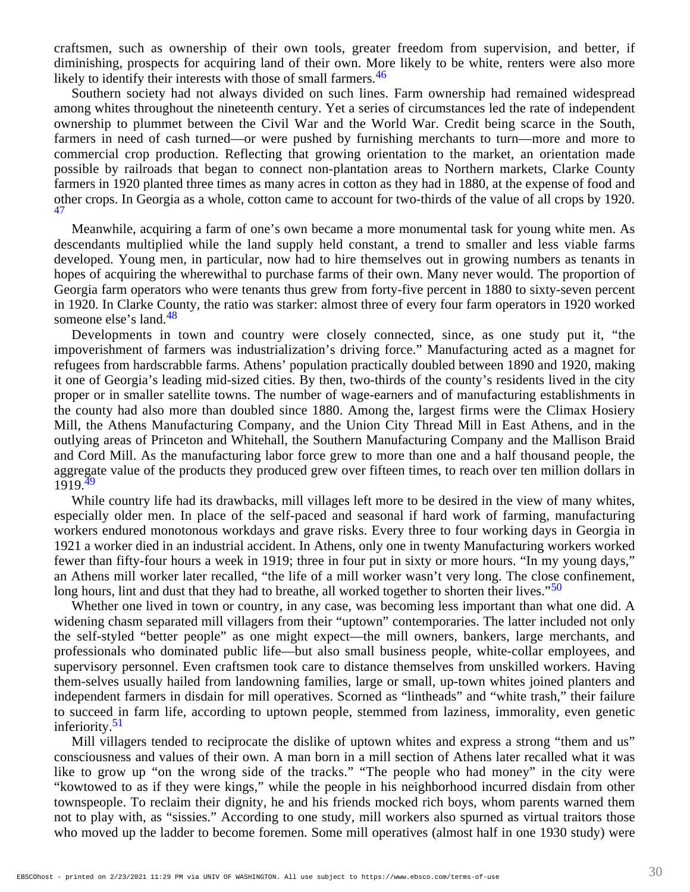craftsmen, such as ownership of their own tools, greater freedom from supervision, and better, if diminishing, prospects for acquiring land of their own. More likely to be white, renters were also more likely to identify their interests with those of small farmers.<sup>46</sup>

Southern society had not always divided on such lines. Farm ownership had remained widespread among whites throughout the nineteenth century. Yet a series of circumstances led the rate of independent ownership to plummet between the Civil War and the World War. Credit being scarce in the South, farmers in need of cash turned—or were pushed by furnishing merchants to turn—more and more to commercial crop production. Reflecting that growing orientation to the market, an orientation made possible by railroads that began to connect non-plantation areas to Northern markets, Clarke County farmers in 1920 planted three times as many acres in cotton as they had in 1880, at the expense of food and other crops. In Georgia as a whole, cotton came to account for two-thirds of the value of all crops by 1920. 47

Meanwhile, acquiring a farm of one's own became a more monumental task for young white men. As descendants multiplied while the land supply held constant, a trend to smaller and less viable farms developed. Young men, in particular, now had to hire themselves out in growing numbers as tenants in hopes of acquiring the wherewithal to purchase farms of their own. Many never would. The proportion of Georgia farm operators who were tenants thus grew from forty-five percent in 1880 to sixty-seven percent in 1920. In Clarke County, the ratio was starker: almost three of every four farm operators in 1920 worked someone else's land.<sup>48</sup>

Developments in town and country were closely connected, since, as one study put it, "the impoverishment of farmers was industrialization's driving force." Manufacturing acted as a magnet for refugees from hardscrabble farms. Athens' population practically doubled between 1890 and 1920, making it one of Georgia's leading mid-sized cities. By then, two-thirds of the county's residents lived in the city proper or in smaller satellite towns. The number of wage-earners and of manufacturing establishments in the county had also more than doubled since 1880. Among the, largest firms were the Climax Hosiery Mill, the Athens Manufacturing Company, and the Union City Thread Mill in East Athens, and in the outlying areas of Princeton and Whitehall, the Southern Manufacturing Company and the Mallison Braid and Cord Mill. As the manufacturing labor force grew to more than one and a half thousand people, the aggregate value of the products they produced grew over fifteen times, to reach over ten million dollars in 1919.<sup>49</sup>

While country life had its drawbacks, mill villages left more to be desired in the view of many whites, especially older men. In place of the self-paced and seasonal if hard work of farming, manufacturing workers endured monotonous workdays and grave risks. Every three to four working days in Georgia in 1921 a worker died in an industrial accident. In Athens, only one in twenty Manufacturing workers worked fewer than fifty-four hours a week in 1919; three in four put in sixty or more hours. "In my young days," an Athens mill worker later recalled, "the life of a mill worker wasn't very long. The close confinement, long hours, lint and dust that they had to breathe, all worked together to shorten their lives."<sup>50</sup>

Whether one lived in town or country, in any case, was becoming less important than what one did. A widening chasm separated mill villagers from their "uptown" contemporaries. The latter included not only the self-styled "better people" as one might expect—the mill owners, bankers, large merchants, and professionals who dominated public life—but also small business people, white-collar employees, and supervisory personnel. Even craftsmen took care to distance themselves from unskilled workers. Having them-selves usually hailed from landowning families, large or small, up-town whites joined planters and independent farmers in disdain for mill operatives. Scorned as "lintheads" and "white trash," their failure to succeed in farm life, according to uptown people, stemmed from laziness, immorality, even genetic inferiority. $51$ 

Mill villagers tended to reciprocate the dislike of uptown whites and express a strong "them and us" consciousness and values of their own. A man born in a mill section of Athens later recalled what it was like to grow up "on the wrong side of the tracks." "The people who had money" in the city were "kowtowed to as if they were kings," while the people in his neighborhood incurred disdain from other townspeople. To reclaim their dignity, he and his friends mocked rich boys, whom parents warned them not to play with, as "sissies." According to one study, mill workers also spurned as virtual traitors those who moved up the ladder to become foremen. Some mill operatives (almost half in one 1930 study) were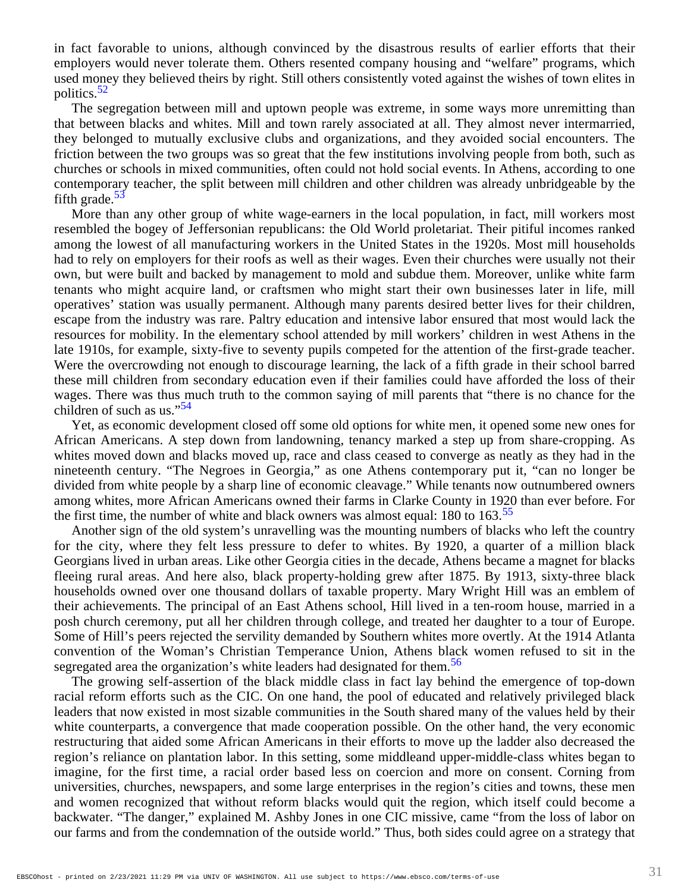in fact favorable to unions, although convinced by the disastrous results of earlier efforts that their employers would never tolerate them. Others resented company housing and "welfare" programs, which used money they believed theirs by right. Still others consistently voted against the wishes of town elites in politics. $52$ 

The segregation between mill and uptown people was extreme, in some ways more unremitting than that between blacks and whites. Mill and town rarely associated at all. They almost never intermarried, they belonged to mutually exclusive clubs and organizations, and they avoided social encounters. The friction between the two groups was so great that the few institutions involving people from both, such as churches or schools in mixed communities, often could not hold social events. In Athens, according to one contemporary teacher, the split between mill children and other children was already unbridgeable by the fifth grade. $53$ 

More than any other group of white wage-earners in the local population, in fact, mill workers most resembled the bogey of Jeffersonian republicans: the Old World proletariat. Their pitiful incomes ranked among the lowest of all manufacturing workers in the United States in the 1920s. Most mill households had to rely on employers for their roofs as well as their wages. Even their churches were usually not their own, but were built and backed by management to mold and subdue them. Moreover, unlike white farm tenants who might acquire land, or craftsmen who might start their own businesses later in life, mill operatives' station was usually permanent. Although many parents desired better lives for their children, escape from the industry was rare. Paltry education and intensive labor ensured that most would lack the resources for mobility. In the elementary school attended by mill workers' children in west Athens in the late 1910s, for example, sixty-five to seventy pupils competed for the attention of the first-grade teacher. Were the overcrowding not enough to discourage learning, the lack of a fifth grade in their school barred these mill children from secondary education even if their families could have afforded the loss of their wages. There was thus much truth to the common saying of mill parents that "there is no chance for the children of such as us." $54$ 

Yet, as economic development closed off some old options for white men, it opened some new ones for African Americans. A step down from landowning, tenancy marked a step up from share-cropping. As whites moved down and blacks moved up, race and class ceased to converge as neatly as they had in the nineteenth century. "The Negroes in Georgia," as one Athens contemporary put it, "can no longer be divided from white people by a sharp line of economic cleavage." While tenants now outnumbered owners among whites, more African Americans owned their farms in Clarke County in 1920 than ever before. For the first time, the number of white and black owners was almost equal:  $180$  to  $163.^5$ 

Another sign of the old system's unravelling was the mounting numbers of blacks who left the country for the city, where they felt less pressure to defer to whites. By 1920, a quarter of a million black Georgians lived in urban areas. Like other Georgia cities in the decade, Athens became a magnet for blacks fleeing rural areas. And here also, black property-holding grew after 1875. By 1913, sixty-three black households owned over one thousand dollars of taxable property. Mary Wright Hill was an emblem of their achievements. The principal of an East Athens school, Hill lived in a ten-room house, married in a posh church ceremony, put all her children through college, and treated her daughter to a tour of Europe. Some of Hill's peers rejected the servility demanded by Southern whites more overtly. At the 1914 Atlanta convention of the Woman's Christian Temperance Union, Athens black women refused to sit in the segregated area the organization's white leaders had designated for them.<sup>56</sup>

The growing self-assertion of the black middle class in fact lay behind the emergence of top-down racial reform efforts such as the CIC. On one hand, the pool of educated and relatively privileged black leaders that now existed in most sizable communities in the South shared many of the values held by their white counterparts, a convergence that made cooperation possible. On the other hand, the very economic restructuring that aided some African Americans in their efforts to move up the ladder also decreased the region's reliance on plantation labor. In this setting, some middleand upper-middle-class whites began to imagine, for the first time, a racial order based less on coercion and more on consent. Corning from universities, churches, newspapers, and some large enterprises in the region's cities and towns, these men and women recognized that without reform blacks would quit the region, which itself could become a backwater. "The danger," explained M. Ashby Jones in one CIC missive, came "from the loss of labor on our farms and from the condemnation of the outside world." Thus, both sides could agree on a strategy that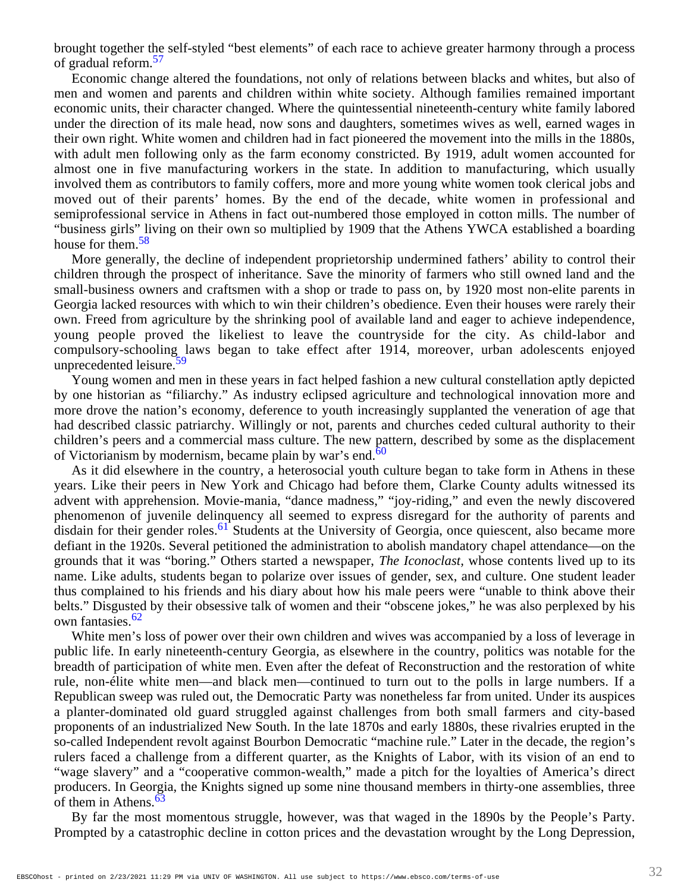brought together the self-styled "best elements" of each race to achieve greater harmony through a process of gradual reform.<sup>57</sup>

Economic change altered the foundations, not only of relations between blacks and whites, but also of men and women and parents and children within white society. Although families remained important economic units, their character changed. Where the quintessential nineteenth-century white family labored under the direction of its male head, now sons and daughters, sometimes wives as well, earned wages in their own right. White women and children had in fact pioneered the movement into the mills in the 1880s, with adult men following only as the farm economy constricted. By 1919, adult women accounted for almost one in five manufacturing workers in the state. In addition to manufacturing, which usually involved them as contributors to family coffers, more and more young white women took clerical jobs and moved out of their parents' homes. By the end of the decade, white women in professional and semiprofessional service in Athens in fact out-numbered those employed in cotton mills. The number of "business girls" living on their own so multiplied by 1909 that the Athens YWCA established a boarding house for them.  $58$ 

More generally, the decline of independent proprietorship undermined fathers' ability to control their children through the prospect of inheritance. Save the minority of farmers who still owned land and the small-business owners and craftsmen with a shop or trade to pass on, by 1920 most non-elite parents in Georgia lacked resources with which to win their children's obedience. Even their houses were rarely their own. Freed from agriculture by the shrinking pool of available land and eager to achieve independence, young people proved the likeliest to leave the countryside for the city. As child-labor and compulsory-schooling laws began to take effect after 1914, moreover, urban adolescents enjoyed unprecedented leisure.<sup>59</sup>

Young women and men in these years in fact helped fashion a new cultural constellation aptly depicted by one historian as "filiarchy." As industry eclipsed agriculture and technological innovation more and more drove the nation's economy, deference to youth increasingly supplanted the veneration of age that had described classic patriarchy. Willingly or not, parents and churches ceded cultural authority to their children's peers and a commercial mass culture. The new pattern, described by some as the displacement of Victorianism by modernism, became plain by war's end.<sup>60</sup>

As it did elsewhere in the country, a heterosocial youth culture began to take form in Athens in these years. Like their peers in New York and Chicago had before them, Clarke County adults witnessed its advent with apprehension. Movie-mania, "dance madness," "joy-riding," and even the newly discovered phenomenon of juvenile delinquency all seemed to express disregard for the authority of parents and disdain for their gender roles.  $61$  Students at the University of Georgia, once quiescent, also became more defiant in the 1920s. Several petitioned the administration to abolish mandatory chapel attendance—on the grounds that it was "boring." Others started a newspaper, *The Iconoclast,* whose contents lived up to its name. Like adults, students began to polarize over issues of gender, sex, and culture. One student leader thus complained to his friends and his diary about how his male peers were "unable to think above their belts." Disgusted by their obsessive talk of women and their "obscene jokes," he was also perplexed by his own fantasies.<sup>62</sup>

White men's loss of power over their own children and wives was accompanied by a loss of leverage in public life. In early nineteenth-century Georgia, as elsewhere in the country, politics was notable for the breadth of participation of white men. Even after the defeat of Reconstruction and the restoration of white rule, non-élite white men—and black men—continued to turn out to the polls in large numbers. If a Republican sweep was ruled out, the Democratic Party was nonetheless far from united. Under its auspices a planter-dominated old guard struggled against challenges from both small farmers and city-based proponents of an industrialized New South. In the late 1870s and early 1880s, these rivalries erupted in the so-called Independent revolt against Bourbon Democratic "machine rule." Later in the decade, the region's rulers faced a challenge from a different quarter, as the Knights of Labor, with its vision of an end to "wage slavery" and a "cooperative common-wealth," made a pitch for the loyalties of America's direct producers. In Georgia, the Knights signed up some nine thousand members in thirty-one assemblies, three of them in Athens.<sup>63</sup>

By far the most momentous struggle, however, was that waged in the 1890s by the People's Party. Prompted by a catastrophic decline in cotton prices and the devastation wrought by the Long Depression,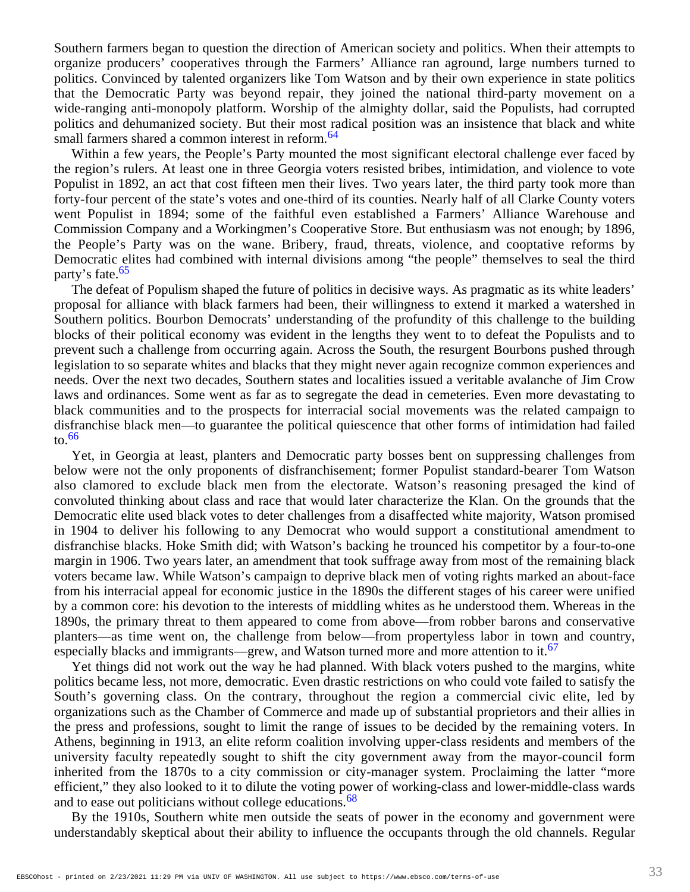Southern farmers began to question the direction of American society and politics. When their attempts to organize producers' cooperatives through the Farmers' Alliance ran aground, large numbers turned to politics. Convinced by talented organizers like Tom Watson and by their own experience in state politics that the Democratic Party was beyond repair, they joined the national third-party movement on a wide-ranging anti-monopoly platform. Worship of the almighty dollar, said the Populists, had corrupted politics and dehumanized society. But their most radical position was an insistence that black and white small farmers shared a common interest in reform.<sup>64</sup>

Within a few years, the People's Party mounted the most significant electoral challenge ever faced by the region's rulers. At least one in three Georgia voters resisted bribes, intimidation, and violence to vote Populist in 1892, an act that cost fifteen men their lives. Two years later, the third party took more than forty-four percent of the state's votes and one-third of its counties. Nearly half of all Clarke County voters went Populist in 1894; some of the faithful even established a Farmers' Alliance Warehouse and Commission Company and a Workingmen's Cooperative Store. But enthusiasm was not enough; by 1896, the People's Party was on the wane. Bribery, fraud, threats, violence, and cooptative reforms by Democratic elites had combined with internal divisions among "the people" themselves to seal the third party's fate.<sup>65</sup>

The defeat of Populism shaped the future of politics in decisive ways. As pragmatic as its white leaders' proposal for alliance with black farmers had been, their willingness to extend it marked a watershed in Southern politics. Bourbon Democrats' understanding of the profundity of this challenge to the building blocks of their political economy was evident in the lengths they went to to defeat the Populists and to prevent such a challenge from occurring again. Across the South, the resurgent Bourbons pushed through legislation to so separate whites and blacks that they might never again recognize common experiences and needs. Over the next two decades, Southern states and localities issued a veritable avalanche of Jim Crow laws and ordinances. Some went as far as to segregate the dead in cemeteries. Even more devastating to black communities and to the prospects for interracial social movements was the related campaign to disfranchise black men—to guarantee the political quiescence that other forms of intimidation had failed to.  $66$ 

Yet, in Georgia at least, planters and Democratic party bosses bent on suppressing challenges from below were not the only proponents of disfranchisement; former Populist standard-bearer Tom Watson also clamored to exclude black men from the electorate. Watson's reasoning presaged the kind of convoluted thinking about class and race that would later characterize the Klan. On the grounds that the Democratic elite used black votes to deter challenges from a disaffected white majority, Watson promised in 1904 to deliver his following to any Democrat who would support a constitutional amendment to disfranchise blacks. Hoke Smith did; with Watson's backing he trounced his competitor by a four-to-one margin in 1906. Two years later, an amendment that took suffrage away from most of the remaining black voters became law. While Watson's campaign to deprive black men of voting rights marked an about-face from his interracial appeal for economic justice in the 1890s the different stages of his career were unified by a common core: his devotion to the interests of middling whites as he understood them. Whereas in the 1890s, the primary threat to them appeared to come from above—from robber barons and conservative planters—as time went on, the challenge from below—from propertyless labor in town and country, especially blacks and immigrants—grew, and Watson turned more and more attention to it.<sup>67</sup>

Yet things did not work out the way he had planned. With black voters pushed to the margins, white politics became less, not more, democratic. Even drastic restrictions on who could vote failed to satisfy the South's governing class. On the contrary, throughout the region a commercial civic elite, led by organizations such as the Chamber of Commerce and made up of substantial proprietors and their allies in the press and professions, sought to limit the range of issues to be decided by the remaining voters. In Athens, beginning in 1913, an elite reform coalition involving upper-class residents and members of the university faculty repeatedly sought to shift the city government away from the mayor-council form inherited from the 1870s to a city commission or city-manager system. Proclaiming the latter "more efficient," they also looked to it to dilute the voting power of working-class and lower-middle-class wards and to ease out politicians without college educations.<sup>68</sup>

By the 1910s, Southern white men outside the seats of power in the economy and government were understandably skeptical about their ability to influence the occupants through the old channels. Regular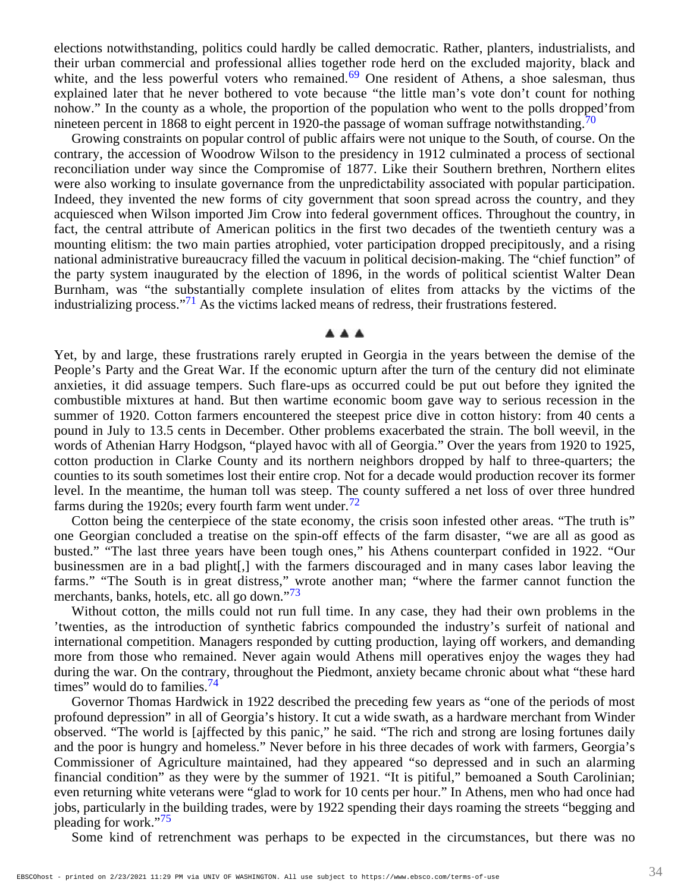elections notwithstanding, politics could hardly be called democratic. Rather, planters, industrialists, and their urban commercial and professional allies together rode herd on the excluded majority, black and white, and the less powerful voters who remained.<sup>69</sup> One resident of Athens, a shoe salesman, thus explained later that he never bothered to vote because "the little man's vote don't count for nothing nohow." In the county as a whole, the proportion of the population who went to the polls dropped'from nineteen percent in 1868 to eight percent in 1920-the passage of woman suffrage notwithstanding.<sup>70</sup>

Growing constraints on popular control of public affairs were not unique to the South, of course. On the contrary, the accession of Woodrow Wilson to the presidency in 1912 culminated a process of sectional reconciliation under way since the Compromise of 1877. Like their Southern brethren, Northern elites were also working to insulate governance from the unpredictability associated with popular participation. Indeed, they invented the new forms of city government that soon spread across the country, and they acquiesced when Wilson imported Jim Crow into federal government offices. Throughout the country, in fact, the central attribute of American politics in the first two decades of the twentieth century was a mounting elitism: the two main parties atrophied, voter participation dropped precipitously, and a rising national administrative bureaucracy filled the vacuum in political decision-making. The "chief function" of the party system inaugurated by the election of 1896, in the words of political scientist Walter Dean Burnham, was "the substantially complete insulation of elites from attacks by the victims of the industrializing process."<sup>71</sup> As the victims lacked means of redress, their frustrations festered.

## **AAA**

Yet, by and large, these frustrations rarely erupted in Georgia in the years between the demise of the People's Party and the Great War. If the economic upturn after the turn of the century did not eliminate anxieties, it did assuage tempers. Such flare-ups as occurred could be put out before they ignited the combustible mixtures at hand. But then wartime economic boom gave way to serious recession in the summer of 1920. Cotton farmers encountered the steepest price dive in cotton history: from 40 cents a pound in July to 13.5 cents in December. Other problems exacerbated the strain. The boll weevil, in the words of Athenian Harry Hodgson, "played havoc with all of Georgia." Over the years from 1920 to 1925, cotton production in Clarke County and its northern neighbors dropped by half to three-quarters; the counties to its south sometimes lost their entire crop. Not for a decade would production recover its former level. In the meantime, the human toll was steep. The county suffered a net loss of over three hundred farms during the 1920s; every fourth farm went under. $72$ 

Cotton being the centerpiece of the state economy, the crisis soon infested other areas. "The truth is" one Georgian concluded a treatise on the spin-off effects of the farm disaster, "we are all as good as busted." "The last three years have been tough ones," his Athens counterpart confided in 1922. "Our businessmen are in a bad plight[,] with the farmers discouraged and in many cases labor leaving the farms." "The South is in great distress," wrote another man; "where the farmer cannot function the merchants, banks, hotels, etc. all go down."<sup>73</sup>

Without cotton, the mills could not run full time. In any case, they had their own problems in the 'twenties, as the introduction of synthetic fabrics compounded the industry's surfeit of national and international competition. Managers responded by cutting production, laying off workers, and demanding more from those who remained. Never again would Athens mill operatives enjoy the wages they had during the war. On the contrary, throughout the Piedmont, anxiety became chronic about what "these hard times" would do to families.  $\frac{74}{7}$ 

Governor Thomas Hardwick in 1922 described the preceding few years as "one of the periods of most profound depression" in all of Georgia's history. It cut a wide swath, as a hardware merchant from Winder observed. "The world is [ajffected by this panic," he said. "The rich and strong are losing fortunes daily and the poor is hungry and homeless." Never before in his three decades of work with farmers, Georgia's Commissioner of Agriculture maintained, had they appeared "so depressed and in such an alarming financial condition" as they were by the summer of 1921. "It is pitiful," bemoaned a South Carolinian; even returning white veterans were "glad to work for 10 cents per hour." In Athens, men who had once had jobs, particularly in the building trades, were by 1922 spending their days roaming the streets "begging and pleading for work."<sup>75</sup>

Some kind of retrenchment was perhaps to be expected in the circumstances, but there was no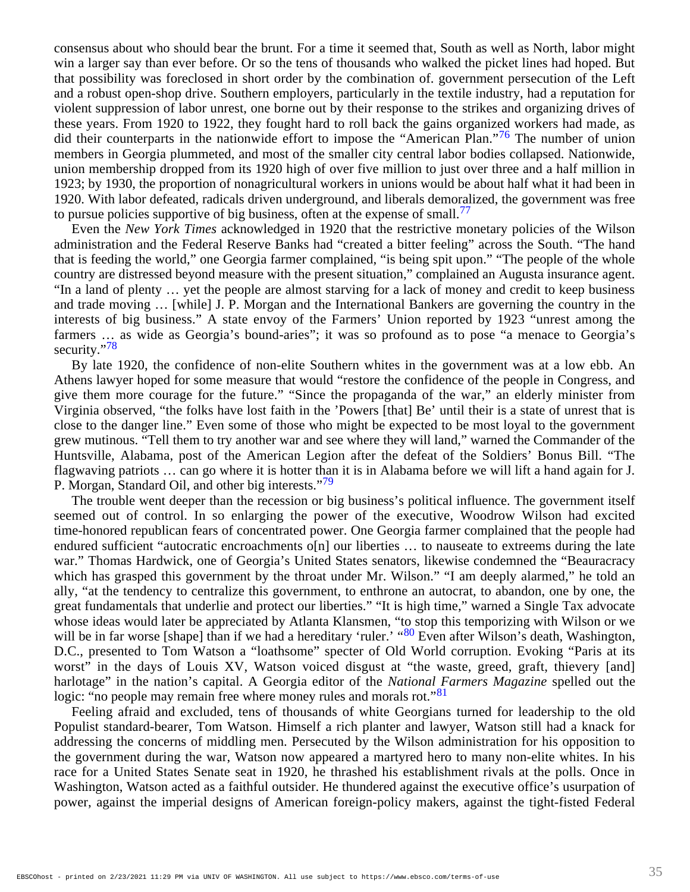consensus about who should bear the brunt. For a time it seemed that, South as well as North, labor might win a larger say than ever before. Or so the tens of thousands who walked the picket lines had hoped. But that possibility was foreclosed in short order by the combination of. government persecution of the Left and a robust open-shop drive. Southern employers, particularly in the textile industry, had a reputation for violent suppression of labor unrest, one borne out by their response to the strikes and organizing drives of these years. From 1920 to 1922, they fought hard to roll back the gains organized workers had made, as did their counterparts in the nationwide effort to impose the "American Plan."<sup>76</sup> The number of union members in Georgia plummeted, and most of the smaller city central labor bodies collapsed. Nationwide, union membership dropped from its 1920 high of over five million to just over three and a half million in 1923; by 1930, the proportion of nonagricultural workers in unions would be about half what it had been in 1920. With labor defeated, radicals driven underground, and liberals demoralized, the government was free to pursue policies supportive of big business, often at the expense of small.<sup>77</sup>

Even the *New York Times* acknowledged in 1920 that the restrictive monetary policies of the Wilson administration and the Federal Reserve Banks had "created a bitter feeling" across the South. "The hand that is feeding the world," one Georgia farmer complained, "is being spit upon." "The people of the whole country are distressed beyond measure with the present situation," complained an Augusta insurance agent. "In a land of plenty … yet the people are almost starving for a lack of money and credit to keep business and trade moving … [while] J. P. Morgan and the International Bankers are governing the country in the interests of big business." A state envoy of the Farmers' Union reported by 1923 "unrest among the farmers ... as wide as Georgia's bound-aries"; it was so profound as to pose "a menace to Georgia's security."<sup>78</sup>

By late 1920, the confidence of non-elite Southern whites in the government was at a low ebb. An Athens lawyer hoped for some measure that would "restore the confidence of the people in Congress, and give them more courage for the future." "Since the propaganda of the war," an elderly minister from Virginia observed, "the folks have lost faith in the 'Powers [that] Be' until their is a state of unrest that is close to the danger line." Even some of those who might be expected to be most loyal to the government grew mutinous. "Tell them to try another war and see where they will land," warned the Commander of the Huntsville, Alabama, post of the American Legion after the defeat of the Soldiers' Bonus Bill. "The flagwaving patriots … can go where it is hotter than it is in Alabama before we will lift a hand again for J. P. Morgan, Standard Oil, and other big interests."<sup>79</sup>

The trouble went deeper than the recession or big business's political influence. The government itself seemed out of control. In so enlarging the power of the executive, Woodrow Wilson had excited time-honored republican fears of concentrated power. One Georgia farmer complained that the people had endured sufficient "autocratic encroachments o[n] our liberties ... to nauseate to extreems during the late war." Thomas Hardwick, one of Georgia's United States senators, likewise condemned the "Beauracracy which has grasped this government by the throat under Mr. Wilson." "I am deeply alarmed," he told an ally, "at the tendency to centralize this government, to enthrone an autocrat, to abandon, one by one, the great fundamentals that underlie and protect our liberties." "It is high time," warned a Single Tax advocate whose ideas would later be appreciated by Atlanta Klansmen, "to stop this temporizing with Wilson or we will be in far worse [shape] than if we had a hereditary 'ruler.<sup>'</sup> "80 Even after Wilson's death, Washington, D.C., presented to Tom Watson a "loathsome" specter of Old World corruption. Evoking "Paris at its worst" in the days of Louis XV, Watson voiced disgust at "the waste, greed, graft, thievery [and] harlotage" in the nation's capital. A Georgia editor of the *National Farmers Magazine* spelled out the logic: "no people may remain free where money rules and morals rot."<sup>81</sup>

Feeling afraid and excluded, tens of thousands of white Georgians turned for leadership to the old Populist standard-bearer, Tom Watson. Himself a rich planter and lawyer, Watson still had a knack for addressing the concerns of middling men. Persecuted by the Wilson administration for his opposition to the government during the war, Watson now appeared a martyred hero to many non-elite whites. In his race for a United States Senate seat in 1920, he thrashed his establishment rivals at the polls. Once in Washington, Watson acted as a faithful outsider. He thundered against the executive office's usurpation of power, against the imperial designs of American foreign-policy makers, against the tight-fisted Federal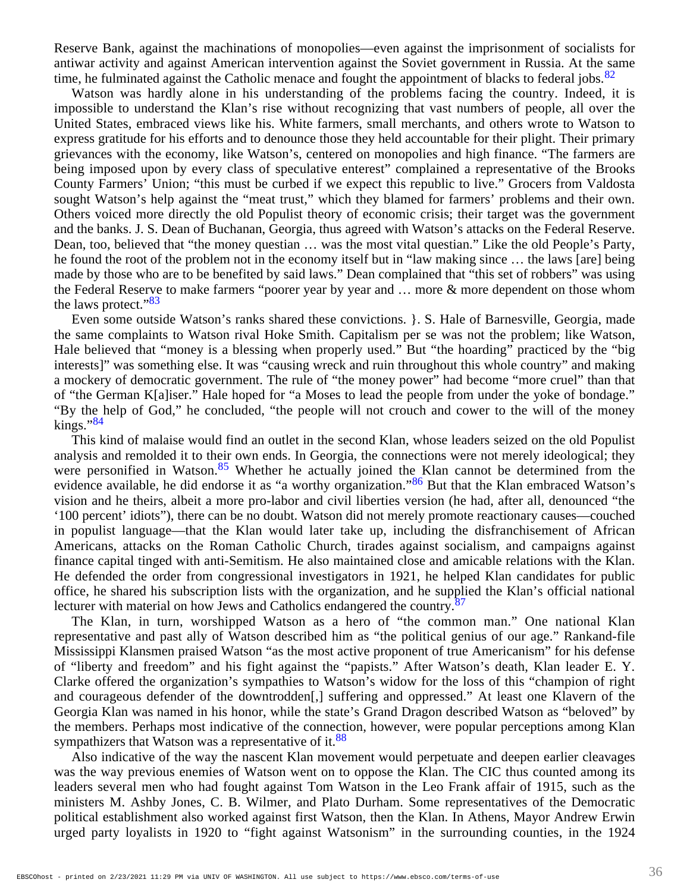Reserve Bank, against the machinations of monopolies—even against the imprisonment of socialists for antiwar activity and against American intervention against the Soviet government in Russia. At the same time, he fulminated against the Catholic menace and fought the appointment of blacks to federal jobs. $82$ 

Watson was hardly alone in his understanding of the problems facing the country. Indeed, it is impossible to understand the Klan's rise without recognizing that vast numbers of people, all over the United States, embraced views like his. White farmers, small merchants, and others wrote to Watson to express gratitude for his efforts and to denounce those they held accountable for their plight. Their primary grievances with the economy, like Watson's, centered on monopolies and high finance. "The farmers are being imposed upon by every class of speculative enterest" complained a representative of the Brooks County Farmers' Union; "this must be curbed if we expect this republic to live." Grocers from Valdosta sought Watson's help against the "meat trust," which they blamed for farmers' problems and their own. Others voiced more directly the old Populist theory of economic crisis; their target was the government and the banks. J. S. Dean of Buchanan, Georgia, thus agreed with Watson's attacks on the Federal Reserve. Dean, too, believed that "the money questian … was the most vital questian." Like the old People's Party, he found the root of the problem not in the economy itself but in "law making since … the laws [are] being made by those who are to be benefited by said laws." Dean complained that "this set of robbers" was using the Federal Reserve to make farmers "poorer year by year and … more & more dependent on those whom the laws protect."<sup>83</sup>

Even some outside Watson's ranks shared these convictions. }. S. Hale of Barnesville, Georgia, made the same complaints to Watson rival Hoke Smith. Capitalism per se was not the problem; like Watson, Hale believed that "money is a blessing when properly used." But "the hoarding" practiced by the "big interests]" was something else. It was "causing wreck and ruin throughout this whole country" and making a mockery of democratic government. The rule of "the money power" had become "more cruel" than that of "the German K[a]iser." Hale hoped for "a Moses to lead the people from under the yoke of bondage." "By the help of God," he concluded, "the people will not crouch and cower to the will of the money kings." $84$ 

This kind of malaise would find an outlet in the second Klan, whose leaders seized on the old Populist analysis and remolded it to their own ends. In Georgia, the connections were not merely ideological; they were personified in Watson.<sup>85</sup> Whether he actually joined the Klan cannot be determined from the evidence available, he did endorse it as "a worthy organization."  $86$  But that the Klan embraced Watson's vision and he theirs, albeit a more pro-labor and civil liberties version (he had, after all, denounced "the '100 percent' idiots"), there can be no doubt. Watson did not merely promote reactionary causes—couched in populist language—that the Klan would later take up, including the disfranchisement of African Americans, attacks on the Roman Catholic Church, tirades against socialism, and campaigns against finance capital tinged with anti-Semitism. He also maintained close and amicable relations with the Klan. He defended the order from congressional investigators in 1921, he helped Klan candidates for public office, he shared his subscription lists with the organization, and he supplied the Klan's official national lecturer with material on how Jews and Catholics endangered the country.<sup>87</sup>

The Klan, in turn, worshipped Watson as a hero of "the common man." One national Klan representative and past ally of Watson described him as "the political genius of our age." Rankand-file Mississippi Klansmen praised Watson "as the most active proponent of true Americanism" for his defense of "liberty and freedom" and his fight against the "papists." After Watson's death, Klan leader E. Y. Clarke offered the organization's sympathies to Watson's widow for the loss of this "champion of right and courageous defender of the downtrodden[,] suffering and oppressed." At least one Klavern of the Georgia Klan was named in his honor, while the state's Grand Dragon described Watson as "beloved" by the members. Perhaps most indicative of the connection, however, were popular perceptions among Klan sympathizers that Watson was a representative of it.<sup>88</sup>

Also indicative of the way the nascent Klan movement would perpetuate and deepen earlier cleavages was the way previous enemies of Watson went on to oppose the Klan. The CIC thus counted among its leaders several men who had fought against Tom Watson in the Leo Frank affair of 1915, such as the ministers M. Ashby Jones, C. B. Wilmer, and Plato Durham. Some representatives of the Democratic political establishment also worked against first Watson, then the Klan. In Athens, Mayor Andrew Erwin urged party loyalists in 1920 to "fight against Watsonism" in the surrounding counties, in the 1924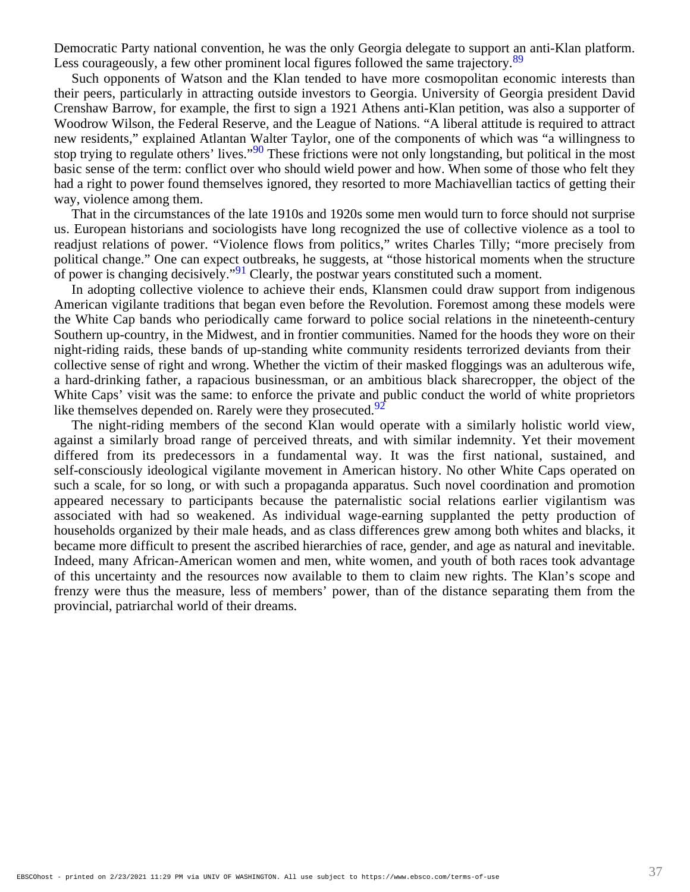Democratic Party national convention, he was the only Georgia delegate to support an anti-Klan platform. Less courageously, a few other prominent local figures followed the same trajectory.<sup>89</sup>

Such opponents of Watson and the Klan tended to have more cosmopolitan economic interests than their peers, particularly in attracting outside investors to Georgia. University of Georgia president David Crenshaw Barrow, for example, the first to sign a 1921 Athens anti-Klan petition, was also a supporter of Woodrow Wilson, the Federal Reserve, and the League of Nations. "A liberal attitude is required to attract new residents," explained Atlantan Walter Taylor, one of the components of which was "a willingness to stop trying to regulate others' lives." These frictions were not only longstanding, but political in the most basic sense of the term: conflict over who should wield power and how. When some of those who felt they had a right to power found themselves ignored, they resorted to more Machiavellian tactics of getting their way, violence among them.

That in the circumstances of the late 1910s and 1920s some men would turn to force should not surprise us. European historians and sociologists have long recognized the use of collective violence as a tool to readjust relations of power. "Violence flows from politics," writes Charles Tilly; "more precisely from political change." One can expect outbreaks, he suggests, at "those historical moments when the structure of power is changing decisively."<sup>91</sup> Clearly, the postwar years constituted such a moment.

In adopting collective violence to achieve their ends, Klansmen could draw support from indigenous American vigilante traditions that began even before the Revolution. Foremost among these models were the White Cap bands who periodically came forward to police social relations in the nineteenth-century Southern up-country, in the Midwest, and in frontier communities. Named for the hoods they wore on their night-riding raids, these bands of up-standing white community residents terrorized deviants from their collective sense of right and wrong. Whether the victim of their masked floggings was an adulterous wife, a hard-drinking father, a rapacious businessman, or an ambitious black sharecropper, the object of the White Caps' visit was the same: to enforce the private and public conduct the world of white proprietors like themselves depended on. Rarely were they prosecuted. $92$ 

The night-riding members of the second Klan would operate with a similarly holistic world view, against a similarly broad range of perceived threats, and with similar indemnity. Yet their movement differed from its predecessors in a fundamental way. It was the first national, sustained, and self-consciously ideological vigilante movement in American history. No other White Caps operated on such a scale, for so long, or with such a propaganda apparatus. Such novel coordination and promotion appeared necessary to participants because the paternalistic social relations earlier vigilantism was associated with had so weakened. As individual wage-earning supplanted the petty production of households organized by their male heads, and as class differences grew among both whites and blacks, it became more difficult to present the ascribed hierarchies of race, gender, and age as natural and inevitable. Indeed, many African-American women and men, white women, and youth of both races took advantage of this uncertainty and the resources now available to them to claim new rights. The Klan's scope and frenzy were thus the measure, less of members' power, than of the distance separating them from the provincial, patriarchal world of their dreams.